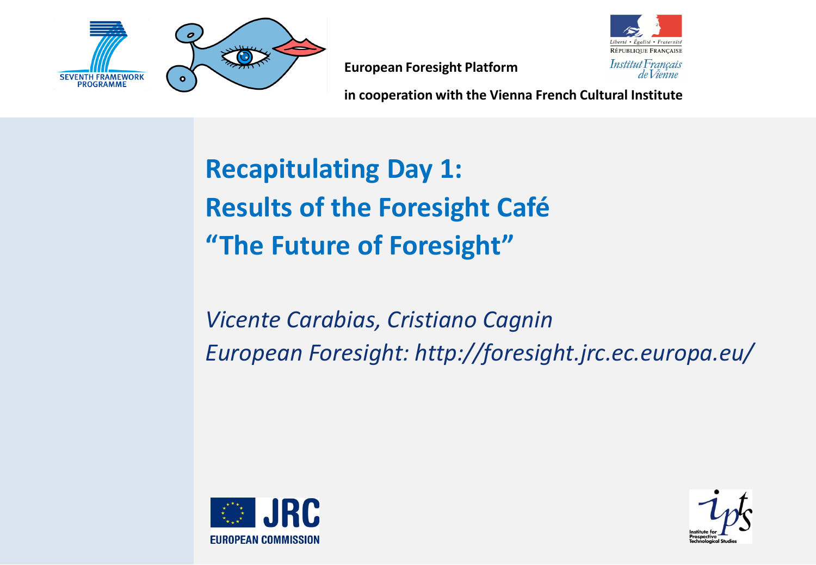



**in cooperation with the Vienna French Cultural Institute**

## **Recapitulating Day 1: Results of the Foresight Café "The Future of Foresight"**

*Vicente Carabias, Cristiano Cagnin European Foresight: http://foresight.jrc.ec.europa.eu/*



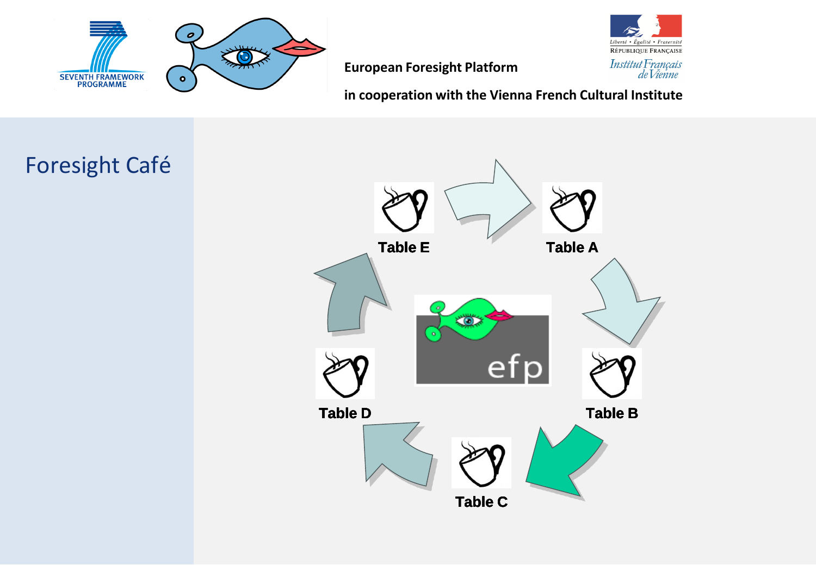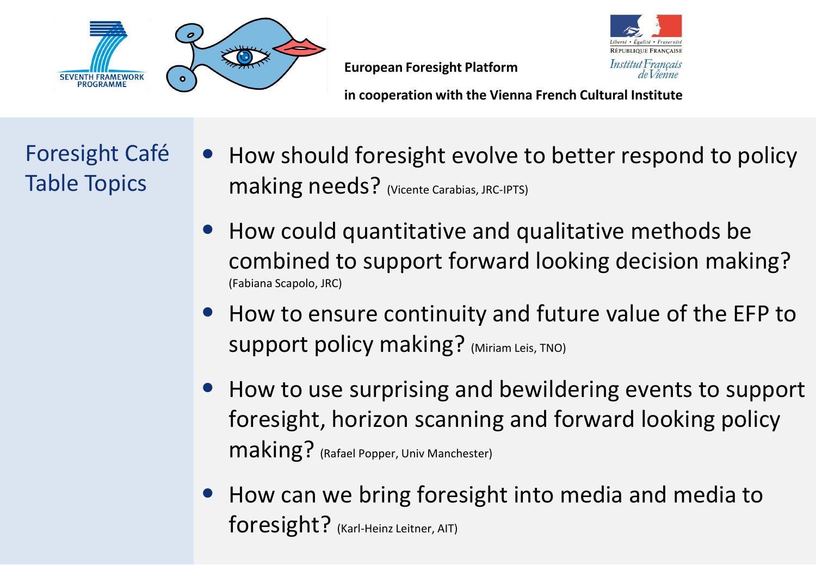



**in cooperation with the Vienna French Cultural Institute**

Foresight Café Table Topics

- How should foresight evolve to better respond to policy making needs? (Vicente Carabias, JRC-IPTS)
- How could quantitative and qualitative methods be combined to support forward looking decision making? (Fabiana Scapolo, JRC)
- How to ensure continuity and future value of the EFP to Support policy making? (Miriam Leis, TNO)
- How to use surprising and bewildering events to support foresight, horizon scanning and forward looking policy making? (Rafael Popper, Univ Manchester)
- How can we bring foresight into media and media to foresight? (Karl-Heinz Leitner, AIT)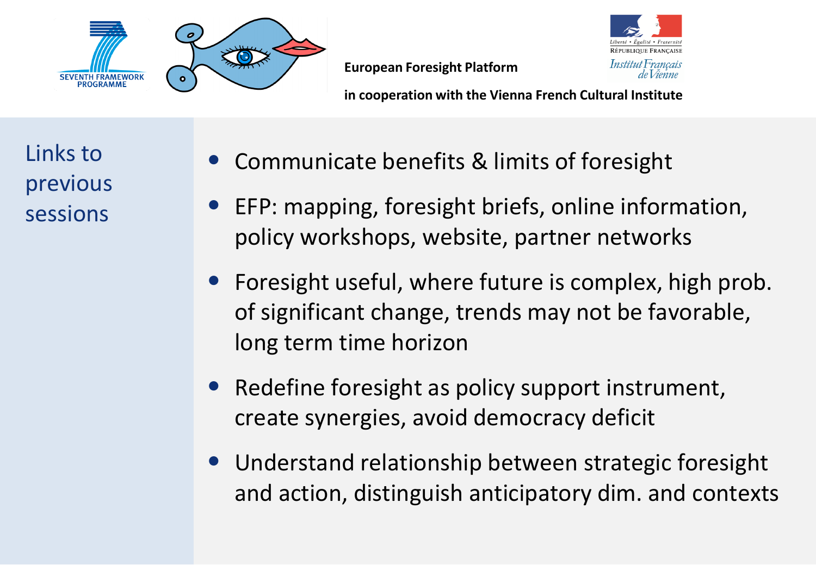



**in cooperation with the Vienna French Cultural Institute**

Links to previous sessions

- Communicate benefits & limits of foresight
- EFP: mapping, foresight briefs, online information, policy workshops, website, partner networks
- Foresight useful, where future is complex, high prob. of significant change, trends may not be favorable, long term time horizon
- Redefine foresight as policy support instrument, create synergies, avoid democracy deficit
- Understand relationship between strategic foresight and action, distinguish anticipatory dim. and contexts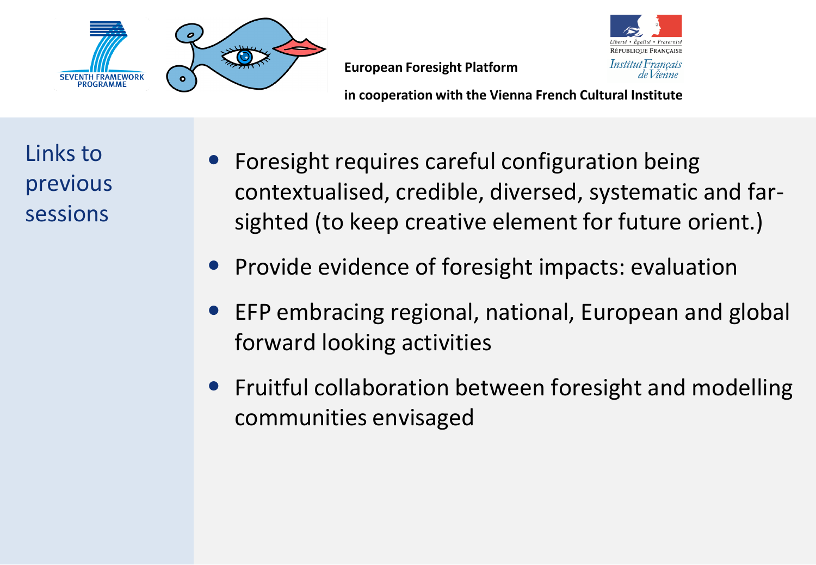

**in cooperation with the Vienna French Cultural Institute**

**RÉPUBLIQUE FRANCAISE** 

Institut Français de Vienne

Links to previous sessions

- Foresight requires careful configuration being contextualised, credible, diversed, systematic and farsighted (to keep creative element for future orient.)
- Provide evidence of foresight impacts: evaluation
- EFP embracing regional, national, European and global forward looking activities
- Fruitful collaboration between foresight and modelling communities envisaged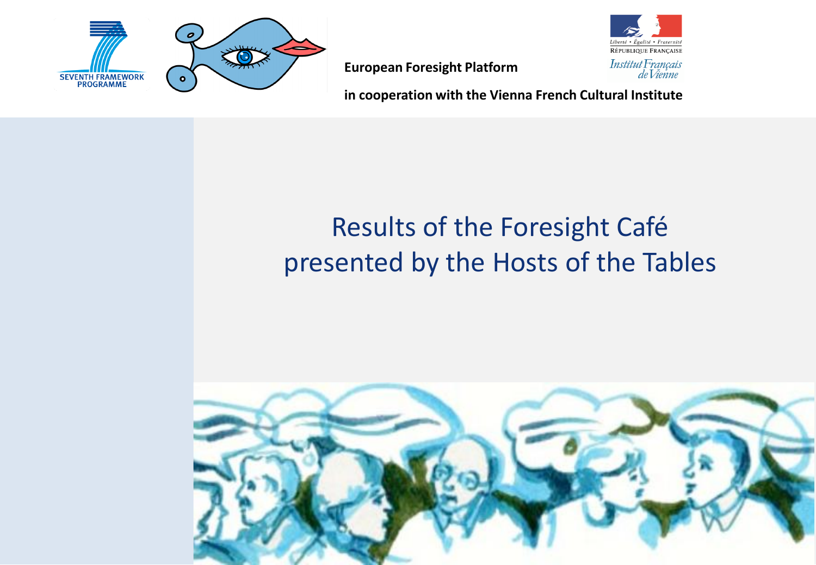

Liberté • Égalité • Fraternite RÉPUBLIQUE FRANÇAISE Institut Français<br>de Vienne

**European Foresight Platform**

**in cooperation with the Vienna French Cultural Institute**

## Results of the Foresight Café presented by the Hosts of the Tables

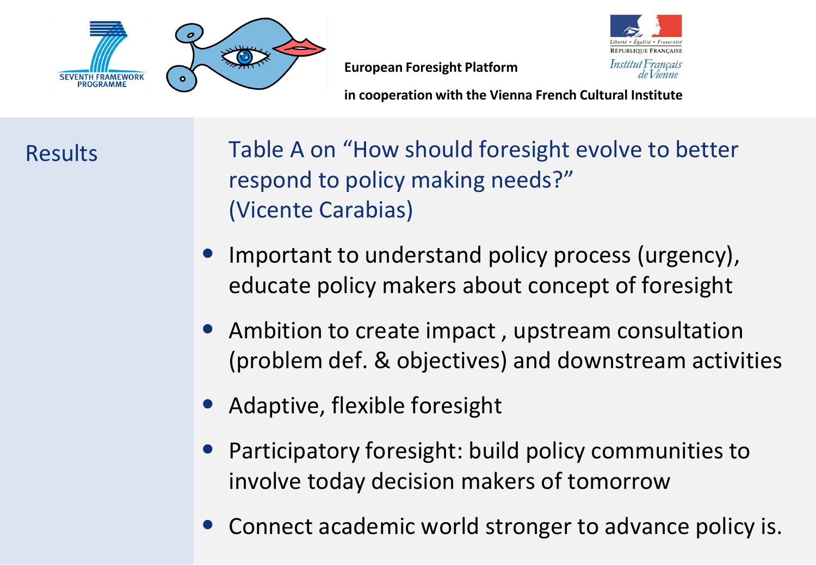

**in cooperation with the Vienna French Cultural Institute**

Results

Table A on "How should foresight evolve to better respond to policy making needs?" (Vicente Carabias)

- Important to understand policy process (urgency), educate policy makers about concept of foresight
- Ambition to create impact, upstream consultation (problem def. & objectives) and downstream activities
- Adaptive, flexible foresight
- Participatory foresight: build policy communities to involve today decision makers of tomorrow
- Connect academic world stronger to advance policy is.

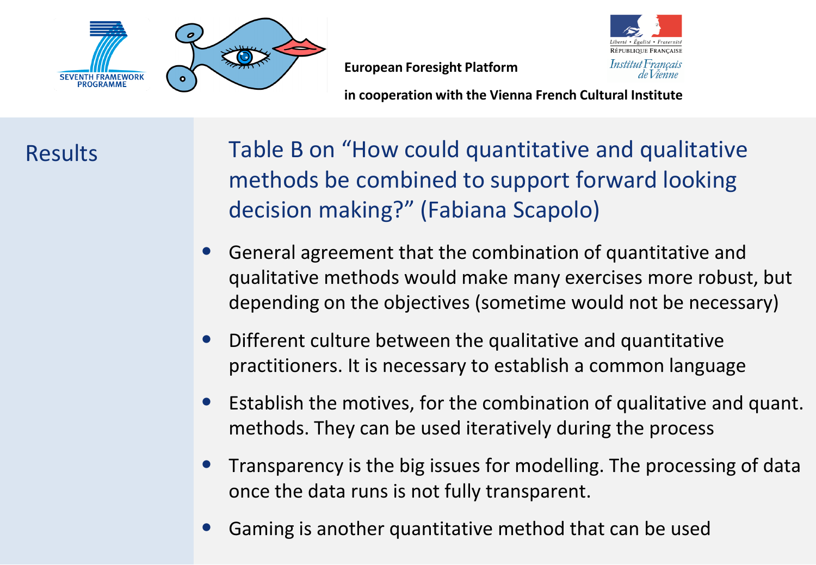

**RÉPUBLIQUE FRANCAISE** Institut Français de *Vienne* 

**in cooperation with the Vienna French Cultural Institute**

Results

Table B on "How could quantitative and qualitative methods be combined to support forward looking decision making?" (Fabiana Scapolo)

- General agreement that the combination of quantitative and qualitative methods would make many exercises more robust, but depending on the objectives (sometime would not be necessary)
- Different culture between the qualitative and quantitative practitioners. It is necessary to establish a common language
- Establish the motives, for the combination of qualitative and quant. methods. They can be used iteratively during the process
- Transparency is the big issues for modelling. The processing of data once the data runs is not fully transparent.
- Gaming is another quantitative method that can be used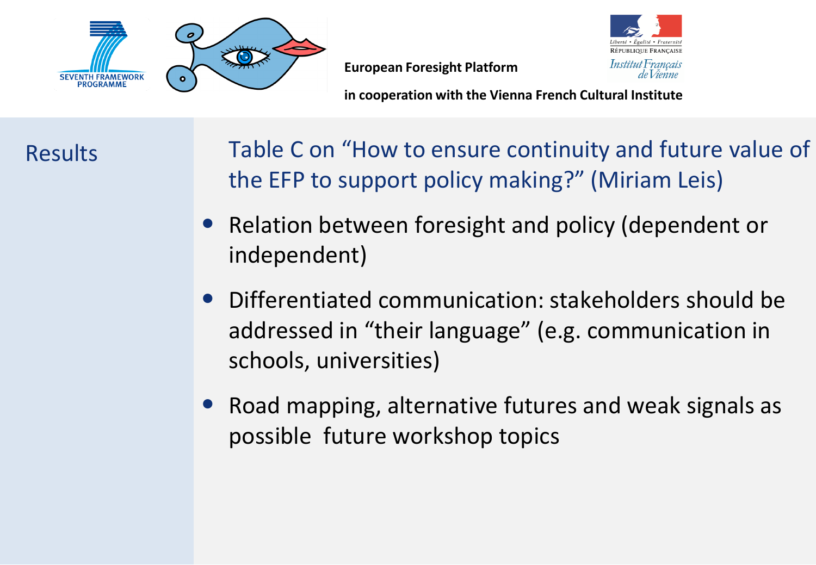

**in cooperation with the Vienna French Cultural Institute**

Results

- Table C on "How to ensure continuity and future value of the EFP to support policy making?" (Miriam Leis)
- Relation between foresight and policy (dependent or independent)
- Differentiated communication: stakeholders should be addressed in "their language" (e.g. communication in schools, universities)
- Road mapping, alternative futures and weak signals as possible future workshop topics

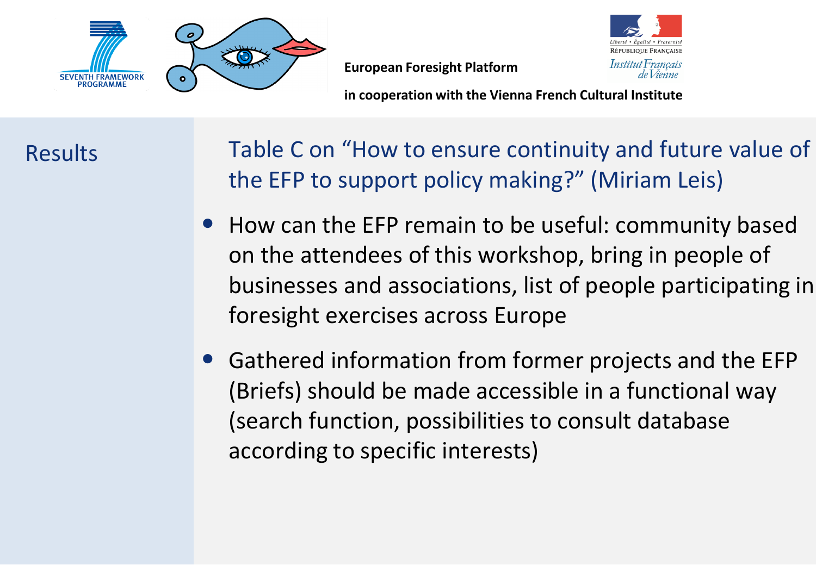

**in cooperation with the Vienna French Cultural Institute**

Results

- Table C on "How to ensure continuity and future value of the EFP to support policy making?" (Miriam Leis)
- How can the EFP remain to be useful: community based on the attendees of this workshop, bring in people of businesses and associations, list of people participating in foresight exercises across Europe
- Gathered information from former projects and the EFP (Briefs) should be made accessible in a functional way (search function, possibilities to consult database according to specific interests)

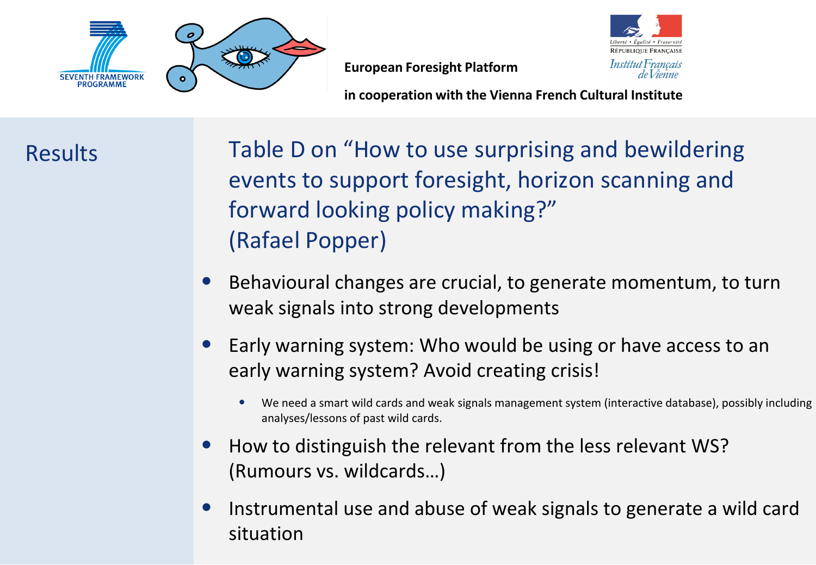

**in cooperation with the Vienna French Cultural Institute**

Results

Table D on "How to use surprising and bewildering events to support foresight, horizon scanning and forward looking policy making?" (Rafael Popper)

- Behavioural changes are crucial, to generate momentum, to turn weak signals into strong developments
- Early warning system: Who would be using or have access to an early warning system? Avoid creating crisis!
	- We need a smart wild cards and weak signals management system (interactive database), possibly including analyses/lessons of past wild cards.
- How to distinguish the relevant from the less relevant WS? (Rumours vs. wildcards…)
- Instrumental use and abuse of weak signals to generate a wild card situation

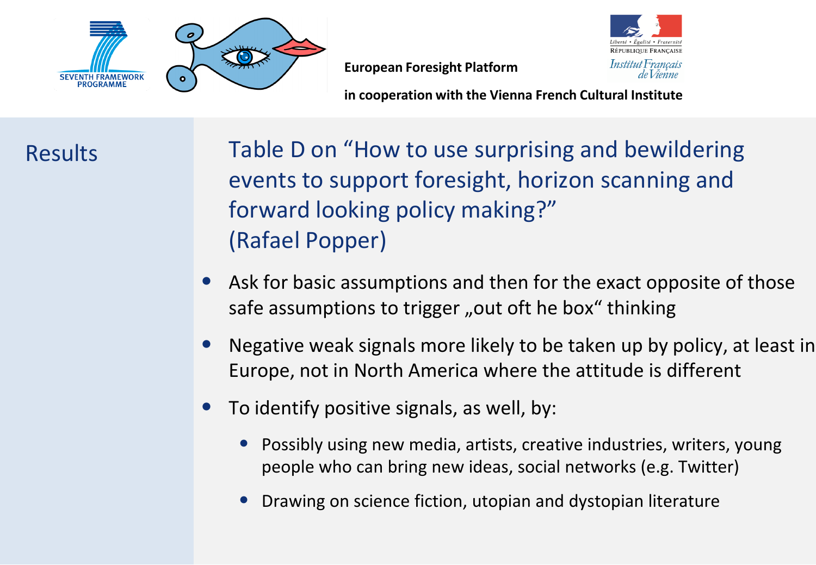

**in cooperation with the Vienna French Cultural Institute**

Results

Table D on "How to use surprising and bewildering events to support foresight, horizon scanning and forward looking policy making?" (Rafael Popper)

- Ask for basic assumptions and then for the exact opposite of those safe assumptions to trigger "out oft he box" thinking
- Negative weak signals more likely to be taken up by policy, at least in Europe, not in North America where the attitude is different
- To identify positive signals, as well, by:
	- Possibly using new media, artists, creative industries, writers, young people who can bring new ideas, social networks (e.g. Twitter)
	- Drawing on science fiction, utopian and dystopian literature

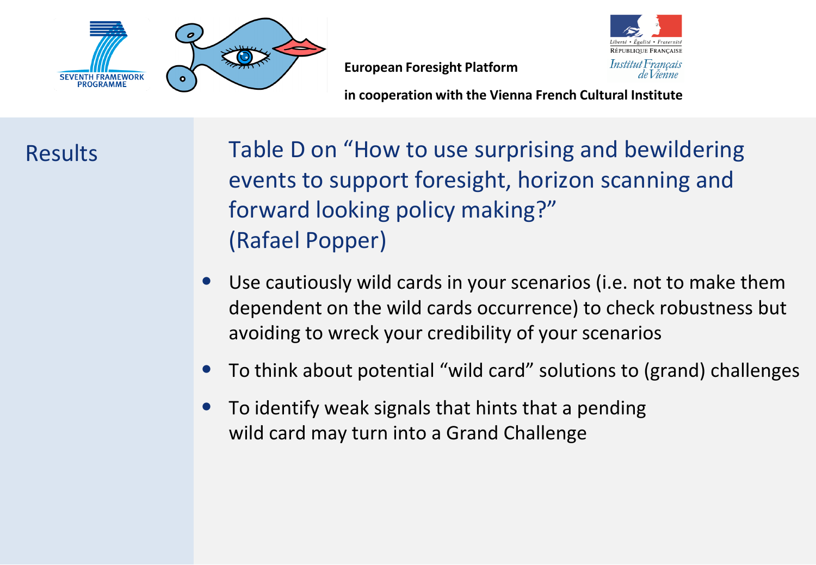

**in cooperation with the Vienna French Cultural Institute**

Results

Table D on "How to use surprising and bewildering events to support foresight, horizon scanning and forward looking policy making?" (Rafael Popper)

- Use cautiously wild cards in your scenarios (i.e. not to make them dependent on the wild cards occurrence) to check robustness but avoiding to wreck your credibility of your scenarios
- To think about potential "wild card" solutions to (grand) challenges
- To identify weak signals that hints that a pending wild card may turn into a Grand Challenge

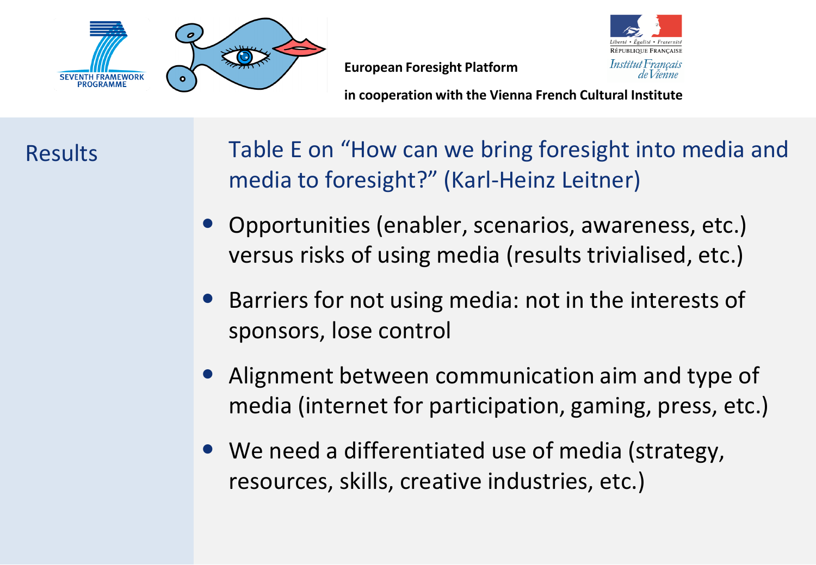

**in cooperation with the Vienna French Cultural Institute**

Results

- Table E on "How can we bring foresight into media and media to foresight?" (Karl-Heinz Leitner)
- Opportunities (enabler, scenarios, awareness, etc.) versus risks of using media (results trivialised, etc.)
- Barriers for not using media: not in the interests of sponsors, lose control
- Alignment between communication aim and type of media (internet for participation, gaming, press, etc.)
- We need a differentiated use of media (strategy, resources, skills, creative industries, etc.)